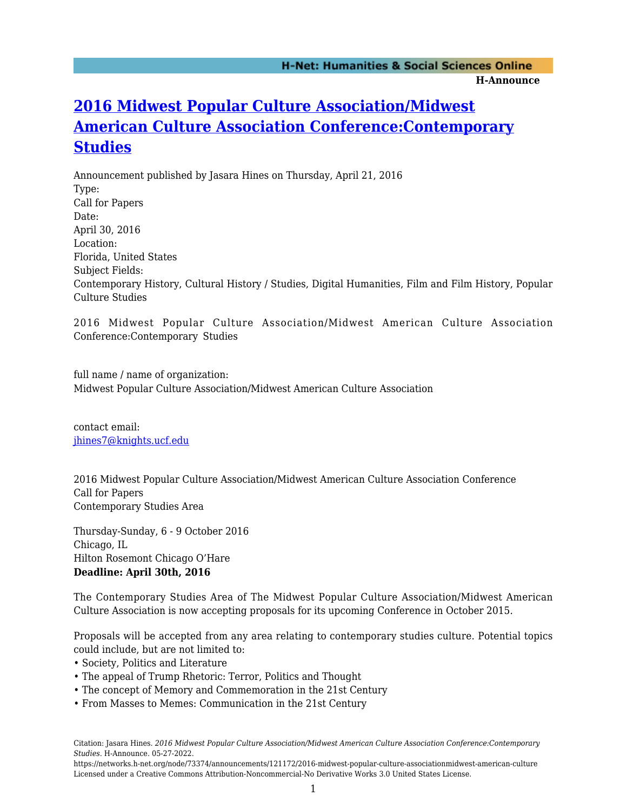## **[2016 Midwest Popular Culture Association/Midwest](https://networks.h-net.org/node/73374/announcements/121172/2016-midwest-popular-culture-associationmidwest-american-culture) [American Culture Association Conference:Contemporary](https://networks.h-net.org/node/73374/announcements/121172/2016-midwest-popular-culture-associationmidwest-american-culture) [Studies](https://networks.h-net.org/node/73374/announcements/121172/2016-midwest-popular-culture-associationmidwest-american-culture)**

Announcement published by Jasara Hines on Thursday, April 21, 2016 Type: Call for Papers Date: April 30, 2016 Location: Florida, United States Subject Fields: Contemporary History, Cultural History / Studies, Digital Humanities, Film and Film History, Popular Culture Studies

2016 Midwest Popular Culture Association/Midwest American Culture Association Conference:Contemporary Studies

full name / name of organization: Midwest Popular Culture Association/Midwest American Culture Association

contact email: [jhines7@knights.ucf.edu](mailto:jhines7@knights.ucf.edu)

2016 Midwest Popular Culture Association/Midwest American Culture Association Conference Call for Papers Contemporary Studies Area

Thursday-Sunday, 6 - 9 October 2016 Chicago, IL Hilton Rosemont Chicago O'Hare **Deadline: April 30th, 2016**

The Contemporary Studies Area of The Midwest Popular Culture Association/Midwest American Culture Association is now accepting proposals for its upcoming Conference in October 2015.

Proposals will be accepted from any area relating to contemporary studies culture. Potential topics could include, but are not limited to:

- Society, Politics and Literature
- The appeal of Trump Rhetoric: Terror, Politics and Thought
- The concept of Memory and Commemoration in the 21st Century
- From Masses to Memes: Communication in the 21st Century

Citation: Jasara Hines. *2016 Midwest Popular Culture Association/Midwest American Culture Association Conference:Contemporary Studies*. H-Announce. 05-27-2022.

https://networks.h-net.org/node/73374/announcements/121172/2016-midwest-popular-culture-associationmidwest-american-culture Licensed under a Creative Commons Attribution-Noncommercial-No Derivative Works 3.0 United States License.